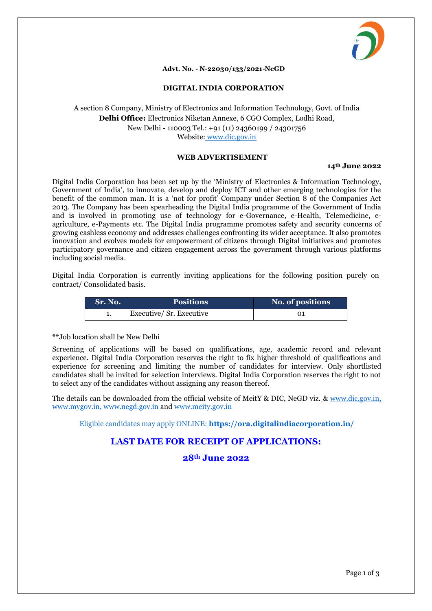

### **Advt. No. - N-22030/133/2021-NeGD**

### **DIGITAL INDIA CORPORATION**

## A section 8 Company, Ministry of Electronics and Information Technology, Govt. of India **Delhi Office:** Electronics Niketan Annexe, 6 CGO Complex, Lodhi Road, New Delhi - 110003 Tel.: +91 (11) 24360199 / 24301756 Website: www.dic.gov.in

## **WEB ADVERTISEMENT**

### **14th June 2022**

Digital India Corporation has been set up by the 'Ministry of Electronics & Information Technology, Government of India', to innovate, develop and deploy ICT and other emerging technologies for the benefit of the common man. It is a 'not for profit' Company under Section 8 of the Companies Act 2013. The Company has been spearheading the Digital India programme of the Government of India and is involved in promoting use of technology for e-Governance, e-Health, Telemedicine, eagriculture, e-Payments etc. The Digital India programme promotes safety and security concerns of growing cashless economy and addresses challenges confronting its wider acceptance. It also promotes innovation and evolves models for empowerment of citizens through Digital initiatives and promotes participatory governance and citizen engagement across the government through various platforms including social media.

Digital India Corporation is currently inviting applications for the following position purely on contract/ Consolidated basis.

| Sr. No. | <b>Positions</b>        | No. of positions |
|---------|-------------------------|------------------|
|         | Executive/Sr. Executive |                  |

### \*\*Job location shall be New Delhi

Screening of applications will be based on qualifications, age, academic record and relevant experience. Digital India Corporation reserves the right to fix higher threshold of qualifications and experience for screening and limiting the number of candidates for interview. Only shortlisted candidates shall be invited for selection interviews. Digital India Corporation reserves the right to not to select any of the candidates without assigning any reason thereof.

The details can be downloaded from the official website of MeitY & DIC, NeGD viz. & [www.dic.gov.in,](http://www.dic.gov.in/) www.mygov.in, [www.negd.gov.in](http://www.negd.gov.in/) and www.meity.gov.in

Eligible candidates may apply ONLINE: **https://ora.digitalindiacorporation.in/**

# **LAST DATE FOR RECEIPT OF APPLICATIONS:**

# **28th June 2022**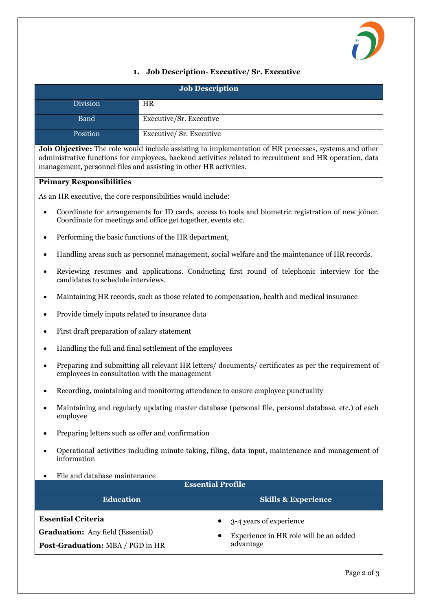

## **1. Job Description- Executive/ Sr. Executive**

| <b>Job Description</b> |                          |  |  |
|------------------------|--------------------------|--|--|
| <b>Division</b>        | <b>HR</b>                |  |  |
| <b>Band</b>            | Executive/Sr. Executive  |  |  |
| Position               | Executive/ Sr. Executive |  |  |

**Job Objective:** The role would include assisting in implementation of HR processes, systems and other administrative functions for employees, backend activities related to recruitment and HR operation, data management, personnel files and assisting in other HR activities.

## **Primary Responsibilities**

As an HR executive, the core responsibilities would include:

- Coordinate for arrangements for ID cards, access to tools and biometric registration of new joiner. Coordinate for meetings and office get together, events etc.
- Performing the basic functions of the HR department,
- Handling areas such as personnel management, social welfare and the maintenance of HR records.
- Reviewing resumes and applications. Conducting first round of telephonic interview for the candidates to schedule interviews.
- Maintaining HR records, such as those related to compensation, health and medical insurance
- Provide timely inputs related to insurance data
- First draft preparation of salary statement
- Handling the full and final settlement of the employees
- Preparing and submitting all relevant HR letters/ documents/ certificates as per the requirement of employees in consultation with the management
- Recording, maintaining and monitoring attendance to ensure employee punctuality
- Maintaining and regularly updating master database (personal file, personal database, etc.) of each employee
- Preparing letters such as offer and confirmation
- Operational activities including minute taking, filing, data input, maintenance and management of information
- File and database maintenance

| <b>Essential Profile</b>                 |                                                     |  |
|------------------------------------------|-----------------------------------------------------|--|
| <b>Education</b>                         | <b>Skills &amp; Experience</b>                      |  |
| <b>Essential Criteria</b>                | $\bullet$ 3-4 years of experience                   |  |
| <b>Graduation:</b> Any field (Essential) | Experience in HR role will be an added<br>$\bullet$ |  |
| <b>Post-Graduation: MBA / PGD in HR</b>  | advantage                                           |  |